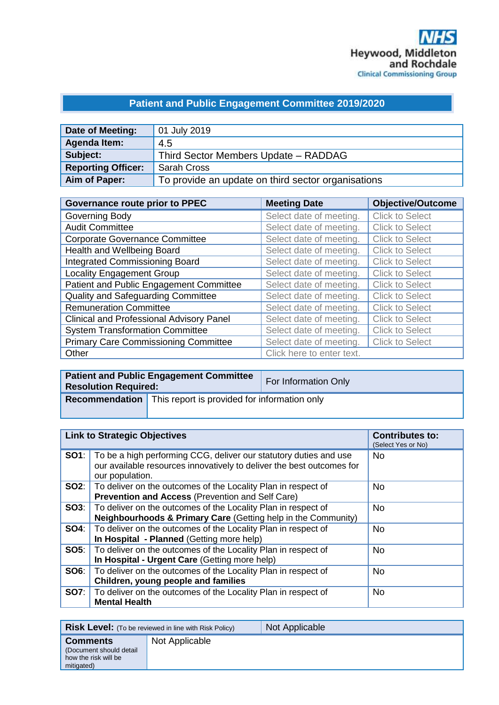## **Patient and Public Engagement Committee 2019/2020**

| Date of Meeting:          | 01 July 2019                                       |
|---------------------------|----------------------------------------------------|
| Agenda Item:              | 4.5                                                |
| Subject:                  | Third Sector Members Update - RADDAG               |
| <b>Reporting Officer:</b> | <b>Sarah Cross</b>                                 |
| Aim of Paper:             | To provide an update on third sector organisations |

| <b>Governance route prior to PPEC</b>           | <b>Meeting Date</b>       | <b>Objective/Outcome</b> |
|-------------------------------------------------|---------------------------|--------------------------|
| Governing Body                                  | Select date of meeting.   | <b>Click to Select</b>   |
| <b>Audit Committee</b>                          | Select date of meeting.   | <b>Click to Select</b>   |
| <b>Corporate Governance Committee</b>           | Select date of meeting.   | <b>Click to Select</b>   |
| Health and Wellbeing Board                      | Select date of meeting.   | <b>Click to Select</b>   |
| <b>Integrated Commissioning Board</b>           | Select date of meeting.   | <b>Click to Select</b>   |
| <b>Locality Engagement Group</b>                | Select date of meeting.   | <b>Click to Select</b>   |
| Patient and Public Engagement Committee         | Select date of meeting.   | <b>Click to Select</b>   |
| Quality and Safeguarding Committee              | Select date of meeting.   | <b>Click to Select</b>   |
| <b>Remuneration Committee</b>                   | Select date of meeting.   | <b>Click to Select</b>   |
| <b>Clinical and Professional Advisory Panel</b> | Select date of meeting.   | <b>Click to Select</b>   |
| <b>System Transformation Committee</b>          | Select date of meeting.   | <b>Click to Select</b>   |
| <b>Primary Care Commissioning Committee</b>     | Select date of meeting.   | <b>Click to Select</b>   |
| Other                                           | Click here to enter text. |                          |

| <b>Resolution Required:</b> | <b>Patient and Public Engagement Committee</b>                     | For Information Only |
|-----------------------------|--------------------------------------------------------------------|----------------------|
|                             | <b>Recommendation</b> This report is provided for information only |                      |

| <b>Link to Strategic Objectives</b> |                                                                                                                                                                            | <b>Contributes to:</b><br>(Select Yes or No) |
|-------------------------------------|----------------------------------------------------------------------------------------------------------------------------------------------------------------------------|----------------------------------------------|
|                                     | <b>SO1</b> : To be a high performing CCG, deliver our statutory duties and use<br>our available resources innovatively to deliver the best outcomes for<br>our population. | <b>No</b>                                    |
|                                     | <b>SO2:</b>   To deliver on the outcomes of the Locality Plan in respect of<br>Prevention and Access (Prevention and Self Care)                                            | <b>No</b>                                    |
|                                     | <b>SO3:</b> To deliver on the outcomes of the Locality Plan in respect of<br>Neighbourhoods & Primary Care (Getting help in the Community)                                 | No.                                          |
| SO4:                                | To deliver on the outcomes of the Locality Plan in respect of<br>In Hospital - Planned (Getting more help)                                                                 | No.                                          |
|                                     | <b>SO5:</b>   To deliver on the outcomes of the Locality Plan in respect of<br>In Hospital - Urgent Care (Getting more help)                                               | <b>No</b>                                    |
| <b>SO6:</b>                         | To deliver on the outcomes of the Locality Plan in respect of<br>Children, young people and families                                                                       | <b>No</b>                                    |
| SO7:                                | To deliver on the outcomes of the Locality Plan in respect of<br><b>Mental Health</b>                                                                                      | <b>No</b>                                    |

|                                                                                   | <b>Risk Level:</b> (To be reviewed in line with Risk Policy) | Not Applicable |
|-----------------------------------------------------------------------------------|--------------------------------------------------------------|----------------|
| <b>Comments</b><br>(Document should detail)<br>how the risk will be<br>mitigated) | Not Applicable                                               |                |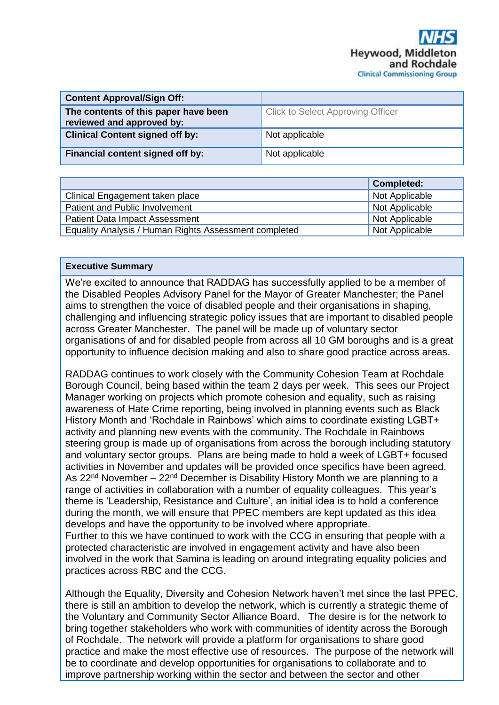| <b>Content Approval/Sign Off:</b>                                 |                                          |  |
|-------------------------------------------------------------------|------------------------------------------|--|
| The contents of this paper have been<br>reviewed and approved by: | <b>Click to Select Approving Officer</b> |  |
| <b>Clinical Content signed off by:</b>                            | Not applicable                           |  |
| <b>Financial content signed off by:</b>                           | Not applicable                           |  |

|                                                       | <b>Completed:</b> |
|-------------------------------------------------------|-------------------|
| Clinical Engagement taken place                       | Not Applicable    |
| Patient and Public Involvement                        | Not Applicable    |
| <b>Patient Data Impact Assessment</b>                 | Not Applicable    |
| Equality Analysis / Human Rights Assessment completed | Not Applicable    |

## **Executive Summary**

We're excited to announce that RADDAG has successfully applied to be a member of the Disabled Peoples Advisory Panel for the Mayor of Greater Manchester; the Panel aims to strengthen the voice of disabled people and their organisations in shaping, challenging and influencing strategic policy issues that are important to disabled people across Greater Manchester. The panel will be made up of voluntary sector organisations of and for disabled people from across all 10 GM boroughs and is a great opportunity to influence decision making and also to share good practice across areas.

RADDAG continues to work closely with the Community Cohesion Team at Rochdale Borough Council, being based within the team 2 days per week. This sees our Project Manager working on projects which promote cohesion and equality, such as raising awareness of Hate Crime reporting, being involved in planning events such as Black History Month and 'Rochdale in Rainbows' which aims to coordinate existing LGBT+ activity and planning new events with the community. The Rochdale in Rainbows steering group is made up of organisations from across the borough including statutory and voluntary sector groups. Plans are being made to hold a week of LGBT+ focused activities in November and updates will be provided once specifics have been agreed. As  $22<sup>nd</sup>$  November –  $22<sup>nd</sup>$  December is Disability History Month we are planning to a range of activities in collaboration with a number of equality colleagues. This year's theme is 'Leadership, Resistance and Culture', an initial idea is to hold a conference during the month, we will ensure that PPEC members are kept updated as this idea develops and have the opportunity to be involved where appropriate. Further to this we have continued to work with the CCG in ensuring that people with a protected characteristic are involved in engagement activity and have also been involved in the work that Samina is leading on around integrating equality policies and practices across RBC and the CCG.

Although the Equality, Diversity and Cohesion Network haven't met since the last PPEC, there is still an ambition to develop the network, which is currently a strategic theme of the Voluntary and Community Sector Alliance Board. The desire is for the network to bring together stakeholders who work with communities of identity across the Borough of Rochdale. The network will provide a platform for organisations to share good practice and make the most effective use of resources. The purpose of the network will be to coordinate and develop opportunities for organisations to collaborate and to improve partnership working within the sector and between the sector and other